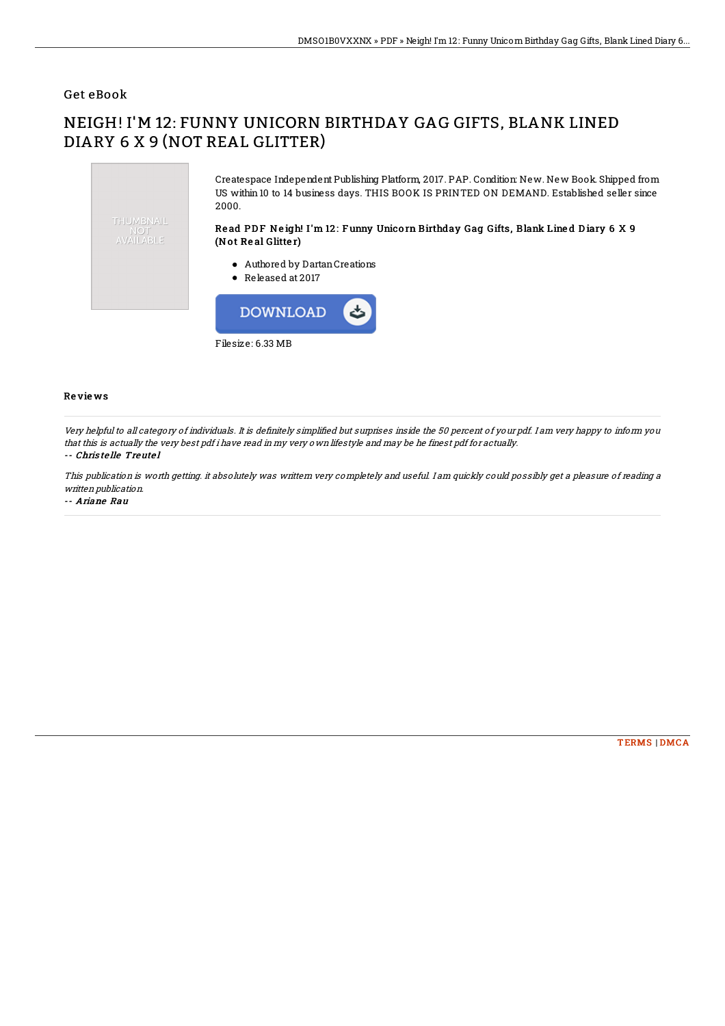## Get eBook

## NEIGH! I'M 12: FUNNY UNICORN BIRTHDAY GAG GIFTS, BLANK LINED DIARY 6 X 9 (NOT REAL GLITTER)



Filesize: 6.33 MB

## Re vie ws

Very helpful to all category of individuals. It is definitely simplified but surprises inside the 50 percent of your pdf. I am very happy to inform you that this is actually the very best pdf i have read in my very own lifestyle and may be he finest pdf for actually. -- Chris te lle Treute l

This publication is worth getting. it absolutely was writtern very completely and useful. I am quickly could possibly get <sup>a</sup> pleasure of reading <sup>a</sup> written publication.

-- Ariane Rau